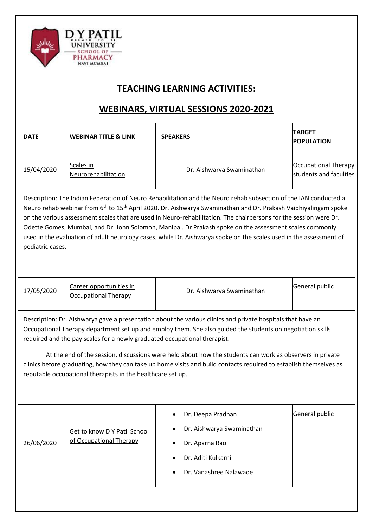

## **TEACHING LEARNING ACTIVITIES:**

## **WEBINARS, VIRTUAL SESSIONS 2020-2021**

| <b>DATE</b>                                                                                                                                                                                                                                                                                                                                                                                                                                                                                                                                                                                                                           | <b>WEBINAR TITLE &amp; LINK</b>                         | <b>SPEAKERS</b>                                                                                                  | <b>TARGET</b><br><b>POPULATION</b>             |  |
|---------------------------------------------------------------------------------------------------------------------------------------------------------------------------------------------------------------------------------------------------------------------------------------------------------------------------------------------------------------------------------------------------------------------------------------------------------------------------------------------------------------------------------------------------------------------------------------------------------------------------------------|---------------------------------------------------------|------------------------------------------------------------------------------------------------------------------|------------------------------------------------|--|
| 15/04/2020                                                                                                                                                                                                                                                                                                                                                                                                                                                                                                                                                                                                                            | Scales in<br>Neurorehabilitation                        | Dr. Aishwarya Swaminathan                                                                                        | Occupational Therapy<br>students and faculties |  |
| Description: The Indian Federation of Neuro Rehabilitation and the Neuro rehab subsection of the IAN conducted a<br>Neuro rehab webinar from 6 <sup>th</sup> to 15 <sup>th</sup> April 2020. Dr. Aishwarya Swaminathan and Dr. Prakash Vaidhiyalingam spoke<br>on the various assessment scales that are used in Neuro-rehabilitation. The chairpersons for the session were Dr.<br>Odette Gomes, Mumbai, and Dr. John Solomon, Manipal. Dr Prakash spoke on the assessment scales commonly<br>used in the evaluation of adult neurology cases, while Dr. Aishwarya spoke on the scales used in the assessment of<br>pediatric cases. |                                                         |                                                                                                                  |                                                |  |
| 17/05/2020                                                                                                                                                                                                                                                                                                                                                                                                                                                                                                                                                                                                                            | Career opportunities in<br><b>Occupational Therapy</b>  | Dr. Aishwarya Swaminathan                                                                                        | General public                                 |  |
| Description: Dr. Aishwarya gave a presentation about the various clinics and private hospitals that have an<br>Occupational Therapy department set up and employ them. She also guided the students on negotiation skills<br>required and the pay scales for a newly graduated occupational therapist.                                                                                                                                                                                                                                                                                                                                |                                                         |                                                                                                                  |                                                |  |
| At the end of the session, discussions were held about how the students can work as observers in private<br>clinics before graduating, how they can take up home visits and build contacts required to establish themselves as<br>reputable occupational therapists in the healthcare set up.                                                                                                                                                                                                                                                                                                                                         |                                                         |                                                                                                                  |                                                |  |
| 26/06/2020                                                                                                                                                                                                                                                                                                                                                                                                                                                                                                                                                                                                                            | Get to know D Y Patil School<br>of Occupational Therapy | Dr. Deepa Pradhan<br>Dr. Aishwarya Swaminathan<br>Dr. Aparna Rao<br>Dr. Aditi Kulkarni<br>Dr. Vanashree Nalawade | General public                                 |  |
|                                                                                                                                                                                                                                                                                                                                                                                                                                                                                                                                                                                                                                       |                                                         |                                                                                                                  |                                                |  |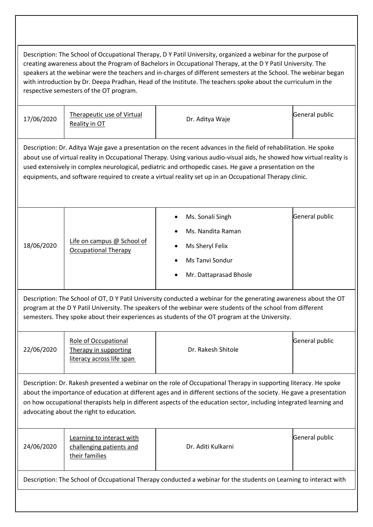Description: The School of Occupational Therapy, D Y Patil University, organized a webinar for the purpose of creating awareness about the Program of Bachelors in Occupational Therapy, at the D Y Patil University. The speakers at the webinar were the teachers and in-charges of different semesters at the School. The webinar began with introduction by Dr. Deepa Pradhan, Head of the Institute. The teachers spoke about the curriculum in the respective semesters of the OT program. 17/06/2020 [Therapeutic use of Virtual](https://www.facebook.com/Admissionsatdypu/videos/595614271070089) Dr. Aditya Waje General public<br> [Reality in OT](https://www.facebook.com/Admissionsatdypu/videos/595614271070089) Creatic Contract of Circuit Aditya Waje General public Description: Dr. Aditya Waje gave a presentation on the recent advances in the field of rehabilitation. He spoke about use of virtual reality in Occupational Therapy. Using various audio-visual aids, he showed how virtual reality is used extensively in complex neurological, pediatric and orthopedic cases. He gave a presentation on the equipments, and software required to create a virtual reality set up in an Occupational Therapy clinic.  $18/06/2020$  Life on campus @ School of [Occupational Therapy](https://www.facebook.com/Admissionsatdypu/videos/3280558028655091) Ms. Sonali Singh Ms. Nandita Raman Ms Sheryl Felix Ms Tanvi Sondur Mr. Dattaprasad Bhosle General public Description: The School of OT, D Y Patil University conducted a webinar for the generating awareness about the OT program at the D Y Patil University. The speakers of the webinar were students of the school from different semesters. They spoke about their experiences as students of the OT program at the University. 22/06/2020 [Role of Occupational](https://www.facebook.com/Admissionsatdypu/videos/372453467096274/)  [Therapy in supporting](https://www.facebook.com/Admissionsatdypu/videos/372453467096274/)  [literacy across life span](https://www.facebook.com/Admissionsatdypu/videos/372453467096274/) Dr. Rakesh Shitole General public Description: Dr. Rakesh presented a webinar on the role of Occupational Therapy in supporting literacy. He spoke about the importance of education at different ages and in different sections of the society. He gave a presentation on how occupational therapists help in different aspects of the education sector, including integrated learning and advocating about the right to education. 24/06/2020 [Learning to interact with](https://www.facebook.com/Admissionsatdypu/videos/893744211128896)  [challenging patients and](https://www.facebook.com/Admissionsatdypu/videos/893744211128896)  [their families](https://www.facebook.com/Admissionsatdypu/videos/893744211128896) Dr. Aditi Kulkarni General public Description: The School of Occupational Therapy conducted a webinar for the students on Learning to interact with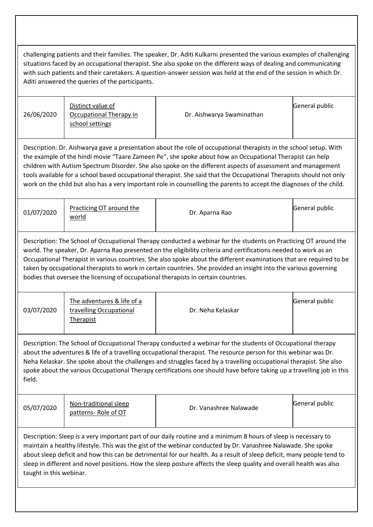challenging patients and their families. The speaker, Dr. Aditi Kulkarni presented the various examples of challenging situations faced by an occupational therapist. She also spoke on the different ways of dealing and communicating with such patients and their caretakers. A question-answer session was held at the end of the session in which Dr. Aditi answered the queries of the participants. 26/06/2020 [Distinct value of](https://www.facebook.com/Admissionsatdypu/posts/583471189034190)  [Occupational Therapy in](https://www.facebook.com/Admissionsatdypu/posts/583471189034190)  [school settings](https://www.facebook.com/Admissionsatdypu/posts/583471189034190) Dr. Aishwarya Swaminathan General public Description: Dr. Aishwarya gave a presentation about the role of occupational therapists in the school setup. With the example of the hindi movie "Taare Zameen Pe", she spoke about how an Occupational Therapist can help children with Autism Spectrum Disorder. She also spoke on the different aspects of assessment and management tools available for a school based occupational therapist. She said that the Occupational Therapists should not only work on the child but also has a very important role in counselling the parents to accept the diagnoses of the child. 01/07/2020 **Practicing OT around the** world Dr. Aparna Rao General public Description: The School of Occupational Therapy conducted a webinar for the students on Practicing OT around the world. The speaker, Dr. Aparna Rao presented on the eligibility criteria and certifications needed to work as an Occupational Therapist in various countries. She also spoke about the different examinations that are required to be taken by occupational therapists to work in certain countries. She provided an insight into the various governing bodies that oversee the licensing of occupational therapists in certain countries. 03/07/2020 [The adventures & life of a](https://www.facebook.com/343300196384625/videos/326792211650122)  [travelling Occupational](https://www.facebook.com/343300196384625/videos/326792211650122)  [Therapist](https://www.facebook.com/343300196384625/videos/326792211650122) Dr. Neha Kelaskar General public Description: The School of Occupational Therapy conducted a webinar for the students of Occupational therapy about the adventures & life of a travelling occupational therapist. The resource person for this webinar was Dr. Neha Kelaskar. She spoke about the challenges and struggles faced by a travelling occupational therapist. She also spoke about the various Occupational Therapy certifications one should have before taking up a travelling job in this field.  $05/07/2020$   $\overline{\smash{)}\space}$  Non-traditional sleep<br>patterns- Role of OT pr. Vanashree Nalawade General public Description: Sleep is a very important part of our daily routine and a minimum 8 hours of sleep is necessary to maintain a healthy lifestyle. This was the gist of the webinar conducted by Dr. Vanashree Nalawade. She spoke about sleep deficit and how this can be detrimental for our health. As a result of sleep deficit, many people tend to sleep in different and novel positions. How the sleep posture affects the sleep quality and overall health was also taught in this webinar.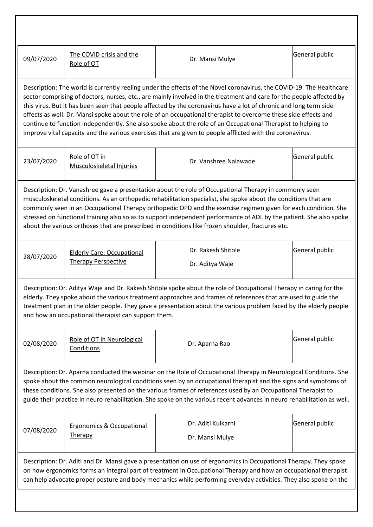| 09/07/2020                                                                                                                                                                                                                                                                                                                                                                                                                                                                                                                                                                                                                                                                                                        | The COVID crisis and the<br>Role of OT                          | Dr. Mansi Mulye                       | General public |
|-------------------------------------------------------------------------------------------------------------------------------------------------------------------------------------------------------------------------------------------------------------------------------------------------------------------------------------------------------------------------------------------------------------------------------------------------------------------------------------------------------------------------------------------------------------------------------------------------------------------------------------------------------------------------------------------------------------------|-----------------------------------------------------------------|---------------------------------------|----------------|
| Description: The world is currently reeling under the effects of the Novel coronavirus, the COVID-19. The Healthcare<br>sector comprising of doctors, nurses, etc., are mainly involved in the treatment and care for the people affected by<br>this virus. But it has been seen that people affected by the coronavirus have a lot of chronic and long term side<br>effects as well. Dr. Mansi spoke about the role of an occupational therapist to overcome these side effects and<br>continue to function independently. She also spoke about the role of an Occupational Therapist to helping to<br>improve vital capacity and the various exercises that are given to people afflicted with the coronavirus. |                                                                 |                                       |                |
| 23/07/2020                                                                                                                                                                                                                                                                                                                                                                                                                                                                                                                                                                                                                                                                                                        | Role of OT in<br>Musculoskeletal Injuries                       | Dr. Vanshree Nalawade                 | General public |
| Description: Dr. Vanashree gave a presentation about the role of Occupational Therapy in commonly seen<br>musculoskeletal conditions. As an orthopedic rehabilitation specialist, she spoke about the conditions that are<br>commonly seen in an Occupational Therapy orthopedic OPD and the exercise regimen given for each condition. She<br>stressed on functional training also so as to support independent performance of ADL by the patient. She also spoke<br>about the various orthoses that are prescribed in conditions like frozen shoulder, fractures etc.                                                                                                                                           |                                                                 |                                       |                |
| 28/07/2020                                                                                                                                                                                                                                                                                                                                                                                                                                                                                                                                                                                                                                                                                                        | <b>Elderly Care: Occupational</b><br><b>Therapy Perspective</b> | Dr. Rakesh Shitole<br>Dr. Aditya Waje | General public |
| Description: Dr. Aditya Waje and Dr. Rakesh Shitole spoke about the role of Occupational Therapy in caring for the<br>elderly. They spoke about the various treatment approaches and frames of references that are used to guide the<br>treatment plan in the older people. They gave a presentation about the various problem faced by the elderly people<br>and how an occupational therapist can support them.                                                                                                                                                                                                                                                                                                 |                                                                 |                                       |                |
| 02/08/2020                                                                                                                                                                                                                                                                                                                                                                                                                                                                                                                                                                                                                                                                                                        | Role of OT in Neurological<br>Conditions                        | Dr. Aparna Rao                        | General public |
| Description: Dr. Aparna conducted the webinar on the Role of Occupational Therapy in Neurological Conditions. She<br>spoke about the common neurological conditions seen by an occupational therapist and the signs and symptoms of<br>these conditions. She also presented on the various frames of references used by an Occupational Therapist to<br>guide their practice in neuro rehabilitation. She spoke on the various recent advances in neuro rehabilitation as well.                                                                                                                                                                                                                                   |                                                                 |                                       |                |
| 07/08/2020                                                                                                                                                                                                                                                                                                                                                                                                                                                                                                                                                                                                                                                                                                        | <b>Ergonomics &amp; Occupational</b><br>Therapy                 | Dr. Aditi Kulkarni<br>Dr. Mansi Mulye | General public |
| Description: Dr. Aditi and Dr. Mansi gave a presentation on use of ergonomics in Occupational Therapy. They spoke<br>on how ergonomics forms an integral part of treatment in Occupational Therapy and how an occupational therapist<br>can help advocate proper posture and body mechanics while performing everyday activities. They also spoke on the                                                                                                                                                                                                                                                                                                                                                          |                                                                 |                                       |                |
|                                                                                                                                                                                                                                                                                                                                                                                                                                                                                                                                                                                                                                                                                                                   |                                                                 |                                       |                |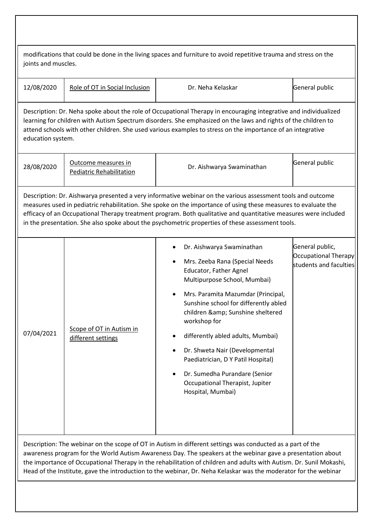| modifications that could be done in the living spaces and furniture to avoid repetitive trauma and stress on the<br>joints and muscles.                                                                                                                                                                                                                                                                                                                              |                                                        |                                                                                                                                                                                                                                                                                                                                                                                                                                                             |                                                                          |  |
|----------------------------------------------------------------------------------------------------------------------------------------------------------------------------------------------------------------------------------------------------------------------------------------------------------------------------------------------------------------------------------------------------------------------------------------------------------------------|--------------------------------------------------------|-------------------------------------------------------------------------------------------------------------------------------------------------------------------------------------------------------------------------------------------------------------------------------------------------------------------------------------------------------------------------------------------------------------------------------------------------------------|--------------------------------------------------------------------------|--|
| 12/08/2020                                                                                                                                                                                                                                                                                                                                                                                                                                                           | Role of OT in Social Inclusion                         | Dr. Neha Kelaskar                                                                                                                                                                                                                                                                                                                                                                                                                                           | General public                                                           |  |
| Description: Dr. Neha spoke about the role of Occupational Therapy in encouraging integrative and individualized<br>learning for children with Autism Spectrum disorders. She emphasized on the laws and rights of the children to<br>attend schools with other children. She used various examples to stress on the importance of an integrative<br>education system.                                                                                               |                                                        |                                                                                                                                                                                                                                                                                                                                                                                                                                                             |                                                                          |  |
| 28/08/2020                                                                                                                                                                                                                                                                                                                                                                                                                                                           | Outcome measures in<br><b>Pediatric Rehabilitation</b> | Dr. Aishwarya Swaminathan                                                                                                                                                                                                                                                                                                                                                                                                                                   | General public                                                           |  |
| Description: Dr. Aishwarya presented a very informative webinar on the various assessment tools and outcome<br>measures used in pediatric rehabilitation. She spoke on the importance of using these measures to evaluate the<br>efficacy of an Occupational Therapy treatment program. Both qualitative and quantitative measures were included<br>in the presentation. She also spoke about the psychometric properties of these assessment tools.                 |                                                        |                                                                                                                                                                                                                                                                                                                                                                                                                                                             |                                                                          |  |
| 07/04/2021                                                                                                                                                                                                                                                                                                                                                                                                                                                           | Scope of OT in Autism in<br>different settings         | Dr. Aishwarya Swaminathan<br>Mrs. Zeeba Rana (Special Needs<br>Educator, Father Agnel<br>Multipurpose School, Mumbai)<br>Mrs. Paramita Mazumdar (Principal,<br>Sunshine school for differently abled<br>children & Sunshine sheltered<br>workshop for<br>differently abled adults, Mumbai)<br>Dr. Shweta Nair (Developmental<br>Paediatrician, D Y Patil Hospital)<br>Dr. Sumedha Purandare (Senior<br>Occupational Therapist, Jupiter<br>Hospital, Mumbai) | General public,<br><b>Occupational Therapy</b><br>students and faculties |  |
| Description: The webinar on the scope of OT in Autism in different settings was conducted as a part of the<br>awareness program for the World Autism Awareness Day. The speakers at the webinar gave a presentation about<br>the importance of Occupational Therapy in the rehabilitation of children and adults with Autism. Dr. Sunil Mokashi,<br>Head of the Institute, gave the introduction to the webinar, Dr. Neha Kelaskar was the moderator for the webinar |                                                        |                                                                                                                                                                                                                                                                                                                                                                                                                                                             |                                                                          |  |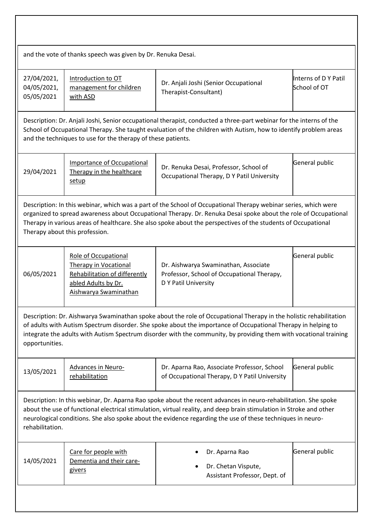| and the vote of thanks speech was given by Dr. Renuka Desai.                                                                                                                                                                                                                                                                                                                          |                                                                                                                                              |                                                                                                            |                                      |  |
|---------------------------------------------------------------------------------------------------------------------------------------------------------------------------------------------------------------------------------------------------------------------------------------------------------------------------------------------------------------------------------------|----------------------------------------------------------------------------------------------------------------------------------------------|------------------------------------------------------------------------------------------------------------|--------------------------------------|--|
| 27/04/2021,<br>04/05/2021,<br>05/05/2021                                                                                                                                                                                                                                                                                                                                              | Introduction to OT<br>management for children<br>with ASD                                                                                    | Dr. Anjali Joshi (Senior Occupational<br>Therapist-Consultant)                                             | Interns of D Y Patil<br>School of OT |  |
| Description: Dr. Anjali Joshi, Senior occupational therapist, conducted a three-part webinar for the interns of the<br>School of Occupational Therapy. She taught evaluation of the children with Autism, how to identify problem areas<br>and the techniques to use for the therapy of these patients.                                                                               |                                                                                                                                              |                                                                                                            |                                      |  |
| 29/04/2021                                                                                                                                                                                                                                                                                                                                                                            | <b>Importance of Occupational</b><br>Therapy in the healthcare<br>setup                                                                      | Dr. Renuka Desai, Professor, School of<br>Occupational Therapy, D Y Patil University                       | General public                       |  |
| Description: In this webinar, which was a part of the School of Occupational Therapy webinar series, which were<br>organized to spread awareness about Occupational Therapy. Dr. Renuka Desai spoke about the role of Occupational<br>Therapy in various areas of healthcare. She also spoke about the perspectives of the students of Occupational<br>Therapy about this profession. |                                                                                                                                              |                                                                                                            |                                      |  |
| 06/05/2021                                                                                                                                                                                                                                                                                                                                                                            | <b>Role of Occupational</b><br><b>Therapy in Vocational</b><br>Rehabilitation of differently<br>abled Adults by Dr.<br>Aishwarya Swaminathan | Dr. Aishwarya Swaminathan, Associate<br>Professor, School of Occupational Therapy,<br>D Y Patil University | General public                       |  |
| Description: Dr. Aishwarya Swaminathan spoke about the role of Occupational Therapy in the holistic rehabilitation<br>of adults with Autism Spectrum disorder. She spoke about the importance of Occupational Therapy in helping to<br>integrate the adults with Autism Spectrum disorder with the community, by providing them with vocational training<br>opportunities.            |                                                                                                                                              |                                                                                                            |                                      |  |
| 13/05/2021                                                                                                                                                                                                                                                                                                                                                                            | <b>Advances in Neuro-</b><br>rehabilitation                                                                                                  | Dr. Aparna Rao, Associate Professor, School<br>of Occupational Therapy, D Y Patil University               | General public                       |  |
| Description: In this webinar, Dr. Aparna Rao spoke about the recent advances in neuro-rehabilitation. She spoke<br>about the use of functional electrical stimulation, virtual reality, and deep brain stimulation in Stroke and other<br>neurological conditions. She also spoke about the evidence regarding the use of these techniques in neuro-<br>rehabilitation.               |                                                                                                                                              |                                                                                                            |                                      |  |
| 14/05/2021                                                                                                                                                                                                                                                                                                                                                                            | Care for people with<br>Dementia and their care-<br>givers                                                                                   | Dr. Aparna Rao<br>Dr. Chetan Vispute,<br>٠<br>Assistant Professor, Dept. of                                | General public                       |  |
|                                                                                                                                                                                                                                                                                                                                                                                       |                                                                                                                                              |                                                                                                            |                                      |  |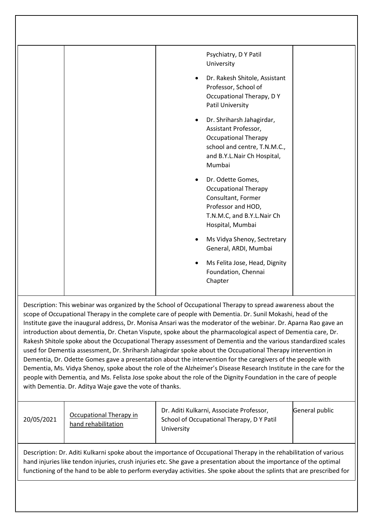| Psychiatry, D Y Patil<br>University                                                                                                                                    |
|------------------------------------------------------------------------------------------------------------------------------------------------------------------------|
| Dr. Rakesh Shitole, Assistant<br>$\bullet$<br>Professor, School of<br>Occupational Therapy, DY<br>Patil University                                                     |
| Dr. Shriharsh Jahagirdar,<br>$\bullet$<br>Assistant Professor,<br><b>Occupational Therapy</b><br>school and centre, T.N.M.C.,<br>and B.Y.L.Nair Ch Hospital,<br>Mumbai |
| Dr. Odette Gomes,<br><b>Occupational Therapy</b><br>Consultant, Former<br>Professor and HOD,<br>T.N.M.C, and B.Y.L.Nair Ch<br>Hospital, Mumbai                         |
| Ms Vidya Shenoy, Sectretary<br>General, ARDI, Mumbai                                                                                                                   |
| Ms Felita Jose, Head, Dignity<br>Foundation, Chennai<br>Chapter                                                                                                        |
|                                                                                                                                                                        |

Description: This webinar was organized by the School of Occupational Therapy to spread awareness about the scope of Occupational Therapy in the complete care of people with Dementia. Dr. Sunil Mokashi, head of the Institute gave the inaugural address, Dr. Monisa Ansari was the moderator of the webinar. Dr. Aparna Rao gave an introduction about dementia, Dr. Chetan Vispute, spoke about the pharmacological aspect of Dementia care, Dr. Rakesh Shitole spoke about the Occupational Therapy assessment of Dementia and the various standardized scales used for Dementia assessment, Dr. Shriharsh Jahagirdar spoke about the Occupational Therapy intervention in Dementia, Dr. Odette Gomes gave a presentation about the intervention for the caregivers of the people with Dementia, Ms. Vidya Shenoy, spoke about the role of the Alzheimer's Disease Research Institute in the care for the people with Dementia, and Ms. Felista Jose spoke about the role of the Dignity Foundation in the care of people with Dementia. Dr. Aditya Waje gave the vote of thanks.

| 20/05/2021 | Occupational Therapy in<br>hand rehabilitation | Dr. Aditi Kulkarni, Associate Professor,<br>School of Occupational Therapy, D Y Patil<br>University | General public |
|------------|------------------------------------------------|-----------------------------------------------------------------------------------------------------|----------------|
|------------|------------------------------------------------|-----------------------------------------------------------------------------------------------------|----------------|

Description: Dr. Aditi Kulkarni spoke about the importance of Occupational Therapy in the rehabilitation of various hand injuries like tendon injuries, crush injuries etc. She gave a presentation about the importance of the optimal functioning of the hand to be able to perform everyday activities. She spoke about the splints that are prescribed for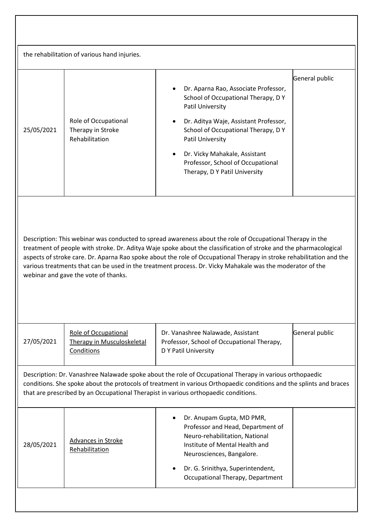| the rehabilitation of various hand injuries.                                                                                                                                                                                                                                                                                                                                                                                                                                                                |                                                                  |                                                                                                                                                                                                                                                                                                                       |                |  |
|-------------------------------------------------------------------------------------------------------------------------------------------------------------------------------------------------------------------------------------------------------------------------------------------------------------------------------------------------------------------------------------------------------------------------------------------------------------------------------------------------------------|------------------------------------------------------------------|-----------------------------------------------------------------------------------------------------------------------------------------------------------------------------------------------------------------------------------------------------------------------------------------------------------------------|----------------|--|
| 25/05/2021                                                                                                                                                                                                                                                                                                                                                                                                                                                                                                  | Role of Occupational<br>Therapy in Stroke<br>Rehabilitation      | Dr. Aparna Rao, Associate Professor,<br>School of Occupational Therapy, DY<br>Patil University<br>Dr. Aditya Waje, Assistant Professor,<br>School of Occupational Therapy, DY<br>Patil University<br>Dr. Vicky Mahakale, Assistant<br>$\bullet$<br>Professor, School of Occupational<br>Therapy, D Y Patil University | General public |  |
| Description: This webinar was conducted to spread awareness about the role of Occupational Therapy in the<br>treatment of people with stroke. Dr. Aditya Waje spoke about the classification of stroke and the pharmacological<br>aspects of stroke care. Dr. Aparna Rao spoke about the role of Occupational Therapy in stroke rehabilitation and the<br>various treatments that can be used in the treatment process. Dr. Vicky Mahakale was the moderator of the<br>webinar and gave the vote of thanks. |                                                                  |                                                                                                                                                                                                                                                                                                                       |                |  |
| 27/05/2021                                                                                                                                                                                                                                                                                                                                                                                                                                                                                                  | Role of Occupational<br>Therapy in Musculoskeletal<br>Conditions | Dr. Vanashree Nalawade, Assistant<br>Professor, School of Occupational Therapy,<br>D Y Patil University                                                                                                                                                                                                               | General public |  |
| Description: Dr. Vanashree Nalawade spoke about the role of Occupational Therapy in various orthopaedic<br>conditions. She spoke about the protocols of treatment in various Orthopaedic conditions and the splints and braces<br>that are prescribed by an Occupational Therapist in various orthopaedic conditions.                                                                                                                                                                                       |                                                                  |                                                                                                                                                                                                                                                                                                                       |                |  |
| 28/05/2021                                                                                                                                                                                                                                                                                                                                                                                                                                                                                                  | <b>Advances in Stroke</b><br>Rehabilitation                      | Dr. Anupam Gupta, MD PMR,<br>Professor and Head, Department of<br>Neuro-rehabilitation, National<br>Institute of Mental Health and<br>Neurosciences, Bangalore.<br>Dr. G. Srinithya, Superintendent,<br>$\bullet$<br>Occupational Therapy, Department                                                                 |                |  |
|                                                                                                                                                                                                                                                                                                                                                                                                                                                                                                             |                                                                  |                                                                                                                                                                                                                                                                                                                       |                |  |